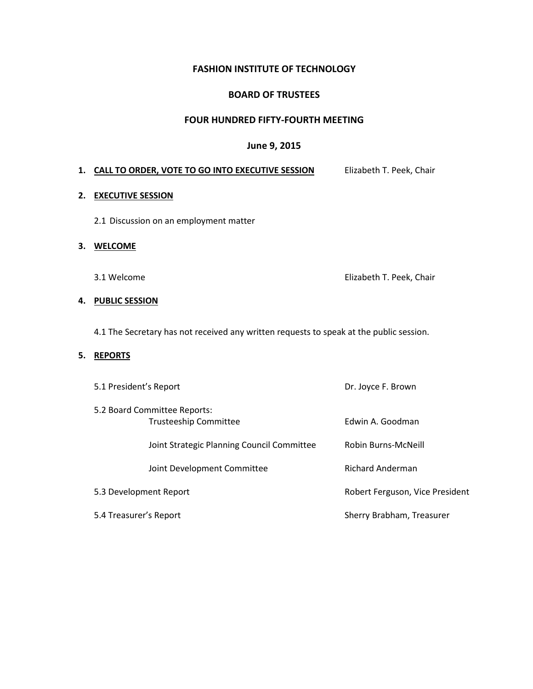### **FASHION INSTITUTE OF TECHNOLOGY**

#### **BOARD OF TRUSTEES**

#### **FOUR HUNDRED FIFTY-FOURTH MEETING**

#### **June 9, 2015**

#### 1. **CALL TO ORDER, VOTE TO GO INTO EXECUTIVE SESSION Elizabeth T. Peek, Chair**

#### **2. EXECUTIVE SESSION**

2.1 Discussion on an employment matter

#### **3. WELCOME**

3.1 Welcome **Elizabeth T. Peek, Chair** 

#### **4. PUBLIC SESSION**

4.1 The Secretary has not received any written requests to speak at the public session.

## **5. REPORTS**

| 5.1 President's Report |                                                              | Dr. Joyce F. Brown              |
|------------------------|--------------------------------------------------------------|---------------------------------|
|                        | 5.2 Board Committee Reports:<br><b>Trusteeship Committee</b> | Edwin A. Goodman                |
|                        | Joint Strategic Planning Council Committee                   | Robin Burns-McNeill             |
|                        | Joint Development Committee                                  | <b>Richard Anderman</b>         |
| 5.3 Development Report |                                                              | Robert Ferguson, Vice President |
| 5.4 Treasurer's Report |                                                              | Sherry Brabham, Treasurer       |